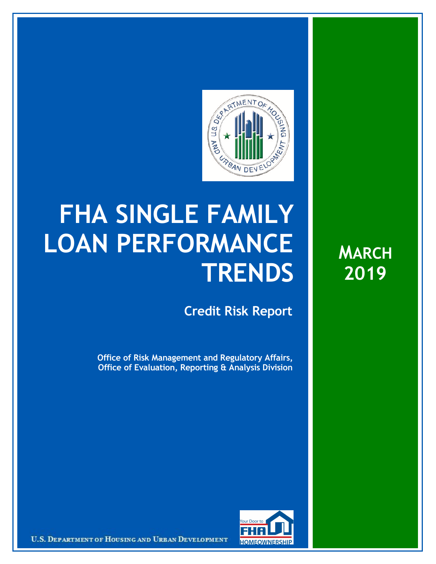

## **FHA SINGLE FAMILY LOAN PERFORMANCE TRENDS**

**Credit Risk Report**

**Office of Risk Management and Regulatory Affairs, Office of Evaluation, Reporting & Analysis Division** **MARCH 2019**



U.S. DEPARTMENT OF HOUSING AND URBAN DEVELOPMENT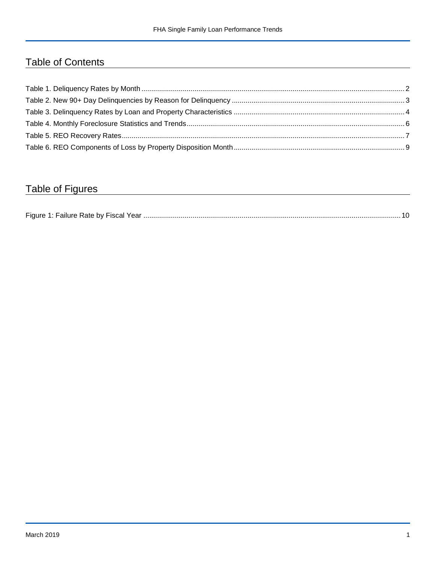## Table of Contents

## Table of Figures

| Figure 1 |  |
|----------|--|
|----------|--|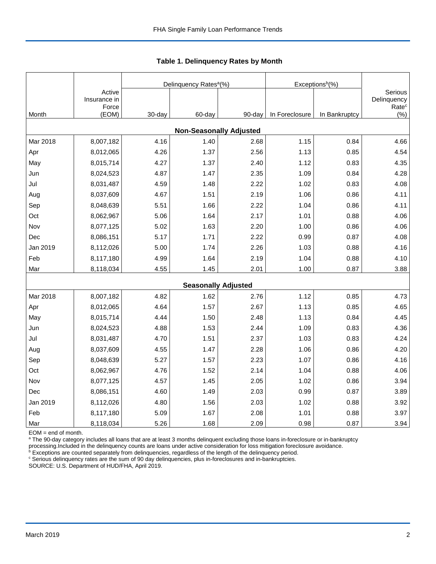|          |                                 |        | Delinquency Rates <sup>a</sup> (%) |        | Exceptions <sup>b</sup> (%) |               |                                             |
|----------|---------------------------------|--------|------------------------------------|--------|-----------------------------|---------------|---------------------------------------------|
|          | Active<br>Insurance in<br>Force |        |                                    |        |                             |               | Serious<br>Delinquency<br>Rate <sup>c</sup> |
| Month    | (EOM)                           | 30-day | 60-day                             | 90-day | In Foreclosure              | In Bankruptcy | $(\% )$                                     |
|          |                                 |        | <b>Non-Seasonally Adjusted</b>     |        |                             |               |                                             |
| Mar 2018 | 8,007,182                       | 4.16   | 1.40                               | 2.68   | 1.15                        | 0.84          | 4.66                                        |
| Apr      | 8,012,065                       | 4.26   | 1.37                               | 2.56   | 1.13                        | 0.85          | 4.54                                        |
| May      | 8,015,714                       | 4.27   | 1.37                               | 2.40   | 1.12                        | 0.83          | 4.35                                        |
| Jun      | 8,024,523                       | 4.87   | 1.47                               | 2.35   | 1.09                        | 0.84          | 4.28                                        |
| Jul      | 8,031,487                       | 4.59   | 1.48                               | 2.22   | 1.02                        | 0.83          | 4.08                                        |
| Aug      | 8,037,609                       | 4.67   | 1.51                               | 2.19   | 1.06                        | 0.86          | 4.11                                        |
| Sep      | 8,048,639                       | 5.51   | 1.66                               | 2.22   | 1.04                        | 0.86          | 4.11                                        |
| Oct      | 8,062,967                       | 5.06   | 1.64                               | 2.17   | 1.01                        | 0.88          | 4.06                                        |
| Nov      | 8,077,125                       | 5.02   | 1.63                               | 2.20   | 1.00                        | 0.86          | 4.06                                        |
| Dec      | 8,086,151                       | 5.17   | 1.71                               | 2.22   | 0.99                        | 0.87          | 4.08                                        |
| Jan 2019 | 8,112,026                       | 5.00   | 1.74                               | 2.26   | 1.03                        | 0.88          | 4.16                                        |
| Feb      | 8,117,180                       | 4.99   | 1.64                               | 2.19   | 1.04                        | 0.88          | 4.10                                        |
| Mar      | 8,118,034                       | 4.55   | 1.45                               | 2.01   | 1.00                        | 0.87          | 3.88                                        |
|          |                                 |        | <b>Seasonally Adjusted</b>         |        |                             |               |                                             |
| Mar 2018 | 8,007,182                       | 4.82   | 1.62                               | 2.76   | 1.12                        | 0.85          | 4.73                                        |
| Apr      | 8,012,065                       | 4.64   | 1.57                               | 2.67   | 1.13                        | 0.85          | 4.65                                        |
| May      | 8,015,714                       | 4.44   | 1.50                               | 2.48   | 1.13                        | 0.84          | 4.45                                        |
| Jun      | 8,024,523                       | 4.88   | 1.53                               | 2.44   | 1.09                        | 0.83          | 4.36                                        |
| Jul      | 8,031,487                       | 4.70   | 1.51                               | 2.37   | 1.03                        | 0.83          | 4.24                                        |
| Aug      | 8,037,609                       | 4.55   | 1.47                               | 2.28   | 1.06                        | 0.86          | 4.20                                        |
| Sep      | 8,048,639                       | 5.27   | 1.57                               | 2.23   | 1.07                        | 0.86          | 4.16                                        |
| Oct      | 8,062,967                       | 4.76   | 1.52                               | 2.14   | 1.04                        | 0.88          | 4.06                                        |
| Nov      | 8,077,125                       | 4.57   | 1.45                               | 2.05   | 1.02                        | 0.86          | 3.94                                        |
| Dec      | 8,086,151                       | 4.60   | 1.49                               | 2.03   | 0.99                        | 0.87          | 3.89                                        |
| Jan 2019 | 8,112,026                       | 4.80   | 1.56                               | 2.03   | 1.02                        | 0.88          | 3.92                                        |
| Feb      | 8,117,180                       | 5.09   | 1.67                               | 2.08   | 1.01                        | 0.88          | 3.97                                        |
| Mar      | 8,118,034                       | 5.26   | 1.68                               | 2.09   | 0.98                        | 0.87          | 3.94                                        |

 **Table 1. Delinquency Rates by Month**

EOM = end of month.

<sup>a</sup> The 90-day category includes all loans that are at least 3 months delinquent excluding those loans in-foreclosure or in-bankruptcy

processing.Included in the delinquency counts are loans under active consideration for loss mitigation foreclosure avoidance.<br><sup>b</sup> Exceptions are counted separately from delinquencies, regardless of the length of the delinq

<sup>c</sup> Serious delinquency rates are the sum of 90 day delinquencies, plus in-foreclosures and in-bankruptcies.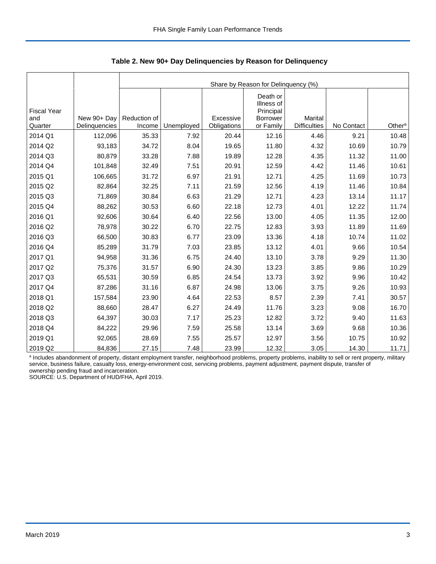|                    |               | Share by Reason for Delinquency (%) |            |             |                        |                     |            |                    |  |  |  |
|--------------------|---------------|-------------------------------------|------------|-------------|------------------------|---------------------|------------|--------------------|--|--|--|
|                    |               |                                     |            |             |                        |                     |            |                    |  |  |  |
|                    |               |                                     |            |             | Death or<br>Illness of |                     |            |                    |  |  |  |
| <b>Fiscal Year</b> |               |                                     |            |             | Principal              |                     |            |                    |  |  |  |
| and                | New 90+ Day   | Reduction of                        |            | Excessive   | Borrower               | <b>Marital</b>      |            |                    |  |  |  |
| Quarter            | Delinquencies | Income                              | Unemployed | Obligations | or Family              | <b>Difficulties</b> | No Contact | Other <sup>a</sup> |  |  |  |
| 2014 Q1            | 112,096       | 35.33                               | 7.92       | 20.44       | 12.16                  | 4.46                | 9.21       | 10.48              |  |  |  |
| 2014 Q2            | 93,183        | 34.72                               | 8.04       | 19.65       | 11.80                  | 4.32                | 10.69      | 10.79              |  |  |  |
| 2014 Q3            | 80,879        | 33.28                               | 7.88       | 19.89       | 12.28                  | 4.35                | 11.32      | 11.00              |  |  |  |
| 2014 Q4            | 101,848       | 32.49                               | 7.51       | 20.91       | 12.59                  | 4.42                | 11.46      | 10.61              |  |  |  |
| 2015 Q1            | 106,665       | 31.72                               | 6.97       | 21.91       | 12.71                  | 4.25                | 11.69      | 10.73              |  |  |  |
| 2015 Q2            | 82,864        | 32.25                               | 7.11       | 21.59       | 12.56                  | 4.19                | 11.46      | 10.84              |  |  |  |
| 2015 Q3            | 71,869        | 30.84                               | 6.63       | 21.29       | 12.71                  | 4.23                | 13.14      | 11.17              |  |  |  |
| 2015 Q4            | 88,262        | 30.53                               | 6.60       | 22.18       | 12.73                  | 4.01                | 12.22      | 11.74              |  |  |  |
| 2016 Q1            | 92,606        | 30.64                               | 6.40       | 22.56       | 13.00                  | 4.05                | 11.35      | 12.00              |  |  |  |
| 2016 Q2            | 78,978        | 30.22                               | 6.70       | 22.75       | 12.83                  | 3.93                | 11.89      | 11.69              |  |  |  |
| 2016 Q3            | 66,500        | 30.83                               | 6.77       | 23.09       | 13.36                  | 4.18                | 10.74      | 11.02              |  |  |  |
| 2016 Q4            | 85,289        | 31.79                               | 7.03       | 23.85       | 13.12                  | 4.01                | 9.66       | 10.54              |  |  |  |
| 2017 Q1            | 94,958        | 31.36                               | 6.75       | 24.40       | 13.10                  | 3.78                | 9.29       | 11.30              |  |  |  |
| 2017 Q2            | 75,376        | 31.57                               | 6.90       | 24.30       | 13.23                  | 3.85                | 9.86       | 10.29              |  |  |  |
| 2017 Q3            | 65,531        | 30.59                               | 6.85       | 24.54       | 13.73                  | 3.92                | 9.96       | 10.42              |  |  |  |
| 2017 Q4            | 87,286        | 31.16                               | 6.87       | 24.98       | 13.06                  | 3.75                | 9.26       | 10.93              |  |  |  |
| 2018 Q1            | 157,584       | 23.90                               | 4.64       | 22.53       | 8.57                   | 2.39                | 7.41       | 30.57              |  |  |  |
| 2018 Q2            | 88,660        | 28.47                               | 6.27       | 24.49       | 11.76                  | 3.23                | 9.08       | 16.70              |  |  |  |
| 2018 Q3            | 64,397        | 30.03                               | 7.17       | 25.23       | 12.82                  | 3.72                | 9.40       | 11.63              |  |  |  |
| 2018 Q4            | 84,222        | 29.96                               | 7.59       | 25.58       | 13.14                  | 3.69                | 9.68       | 10.36              |  |  |  |
| 2019 Q1            | 92,065        | 28.69                               | 7.55       | 25.57       | 12.97                  | 3.56                | 10.75      | 10.92              |  |  |  |
| 2019 Q2            | 84,836        | 27.15                               | 7.48       | 23.99       | 12.32                  | 3.05                | 14.30      | 11.71              |  |  |  |

 **Table 2. New 90+ Day Delinquencies by Reason for Delinquency**

a Includes abandonment of property, distant employment transfer, neighborhood problems, property problems, inability to sell or rent property, military service, business failure, casualty loss, energy-environment cost, servicing problems, payment adjustment, payment dispute, transfer of ownership pending fraud and incarceration.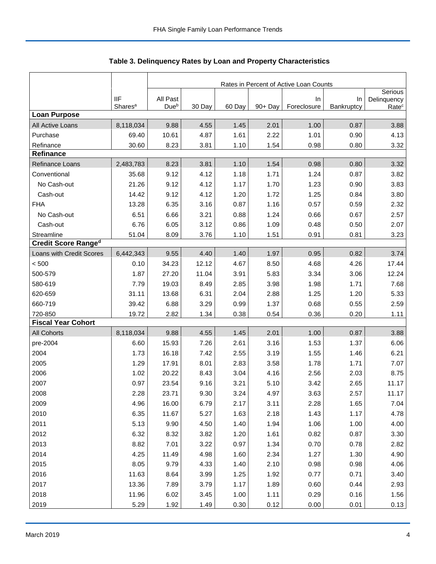|                            |                     | Rates in Percent of Active Loan Counts |        |        |            |                   |                  |                                  |  |
|----------------------------|---------------------|----------------------------------------|--------|--------|------------|-------------------|------------------|----------------------------------|--|
|                            | <b>IIF</b>          | All Past                               |        |        |            |                   |                  | Serious                          |  |
|                            | Shares <sup>a</sup> | Due <sup>b</sup>                       | 30 Day | 60 Day | $90 + Day$ | In<br>Foreclosure | In<br>Bankruptcy | Delinquency<br>Rate <sup>c</sup> |  |
| <b>Loan Purpose</b>        |                     |                                        |        |        |            |                   |                  |                                  |  |
| All Active Loans           | 8,118,034           | 9.88                                   | 4.55   | 1.45   | 2.01       | 1.00              | 0.87             | 3.88                             |  |
| Purchase                   | 69.40               | 10.61                                  | 4.87   | 1.61   | 2.22       | 1.01              | 0.90             | 4.13                             |  |
| Refinance                  | 30.60               | 8.23                                   | 3.81   | 1.10   | 1.54       | 0.98              | 0.80             | 3.32                             |  |
| <b>Refinance</b>           |                     |                                        |        |        |            |                   |                  |                                  |  |
| Refinance Loans            | 2,483,783           | 8.23                                   | 3.81   | 1.10   | 1.54       | 0.98              | 0.80             | 3.32                             |  |
| Conventional               | 35.68               | 9.12                                   | 4.12   | 1.18   | 1.71       | 1.24              | 0.87             | 3.82                             |  |
| No Cash-out                | 21.26               | 9.12                                   | 4.12   | 1.17   | 1.70       | 1.23              | 0.90             | 3.83                             |  |
| Cash-out                   | 14.42               | 9.12                                   | 4.12   | 1.20   | 1.72       | 1.25              | 0.84             | 3.80                             |  |
| <b>FHA</b>                 | 13.28               | 6.35                                   | 3.16   | 0.87   | 1.16       | 0.57              | 0.59             | 2.32                             |  |
| No Cash-out                | 6.51                | 6.66                                   | 3.21   | 0.88   | 1.24       | 0.66              | 0.67             | 2.57                             |  |
| Cash-out                   | 6.76                | 6.05                                   | 3.12   | 0.86   | 1.09       | 0.48              | 0.50             | 2.07                             |  |
| Streamline                 | 51.04               | 8.09                                   | 3.76   | 1.10   | 1.51       | 0.91              | 0.81             | 3.23                             |  |
| <b>Credit Score Ranged</b> |                     |                                        |        |        |            |                   |                  |                                  |  |
| Loans with Credit Scores   | 6,442,343           | 9.55                                   | 4.40   | 1.40   | 1.97       | 0.95              | 0.82             | 3.74                             |  |
| < 500                      | 0.10                | 34.23                                  | 12.12  | 4.67   | 8.50       | 4.68              | 4.26             | 17.44                            |  |
| 500-579                    | 1.87                | 27.20                                  | 11.04  | 3.91   | 5.83       | 3.34              | 3.06             | 12.24                            |  |
| 580-619                    | 7.79                | 19.03                                  | 8.49   | 2.85   | 3.98       | 1.98              | 1.71             | 7.68                             |  |
| 620-659                    | 31.11               | 13.68                                  | 6.31   | 2.04   | 2.88       | 1.25              | 1.20             | 5.33                             |  |
| 660-719                    | 39.42               | 6.88                                   | 3.29   | 0.99   | 1.37       | 0.68              | 0.55             | 2.59                             |  |
| 720-850                    | 19.72               | 2.82                                   | 1.34   | 0.38   | 0.54       | 0.36              | 0.20             | 1.11                             |  |
| <b>Fiscal Year Cohort</b>  |                     |                                        |        |        |            |                   |                  |                                  |  |
| <b>All Cohorts</b>         | 8,118,034           | 9.88                                   | 4.55   | 1.45   | 2.01       | 1.00              | 0.87             | 3.88                             |  |
| pre-2004                   | 6.60                | 15.93                                  | 7.26   | 2.61   | 3.16       | 1.53              | 1.37             | 6.06                             |  |
| 2004                       | 1.73                | 16.18                                  | 7.42   | 2.55   | 3.19       | 1.55              | 1.46             | 6.21                             |  |
| 2005                       | 1.29                | 17.91                                  | 8.01   | 2.83   | 3.58       | 1.78              | 1.71             | 7.07                             |  |
| 2006                       | 1.02                | 20.22                                  | 8.43   | 3.04   | 4.16       | 2.56              | 2.03             | 8.75                             |  |
| 2007                       | 0.97                | 23.54                                  | 9.16   | 3.21   | 5.10       | 3.42              | 2.65             | 11.17                            |  |
| 2008                       | 2.28                | 23.71                                  | 9.30   | 3.24   | 4.97       | 3.63              | 2.57             | 11.17                            |  |
| 2009                       | 4.96                | 16.00                                  | 6.79   | 2.17   | 3.11       | 2.28              | 1.65             | 7.04                             |  |
| 2010                       | 6.35                | 11.67                                  | 5.27   | 1.63   | 2.18       | 1.43              | 1.17             | 4.78                             |  |
| 2011                       | 5.13                | 9.90                                   | 4.50   | 1.40   | 1.94       | 1.06              | 1.00             | 4.00                             |  |
| 2012                       | 6.32                | 8.32                                   | 3.82   | 1.20   | 1.61       | 0.82              | 0.87             | 3.30                             |  |
| 2013                       | 8.82                | 7.01                                   | 3.22   | 0.97   | 1.34       | 0.70              | 0.78             | 2.82                             |  |
| 2014                       | 4.25                | 11.49                                  | 4.98   | 1.60   | 2.34       | 1.27              | 1.30             | 4.90                             |  |
| 2015                       | 8.05                | 9.79                                   | 4.33   | 1.40   | 2.10       | 0.98              | 0.98             | 4.06                             |  |
| 2016                       | 11.63               | 8.64                                   | 3.99   | 1.25   | 1.92       | 0.77              | 0.71             | 3.40                             |  |
| 2017                       | 13.36               | 7.89                                   | 3.79   | 1.17   | 1.89       | 0.60              | 0.44             | 2.93                             |  |
| 2018                       | 11.96               | 6.02                                   | 3.45   | 1.00   | 1.11       | 0.29              | 0.16             | 1.56                             |  |
| 2019                       | 5.29                | 1.92                                   | 1.49   | 0.30   | 0.12       | 0.00              | 0.01             | 0.13                             |  |

Table 3. Delinquency Rates by Loan and Property Characteristics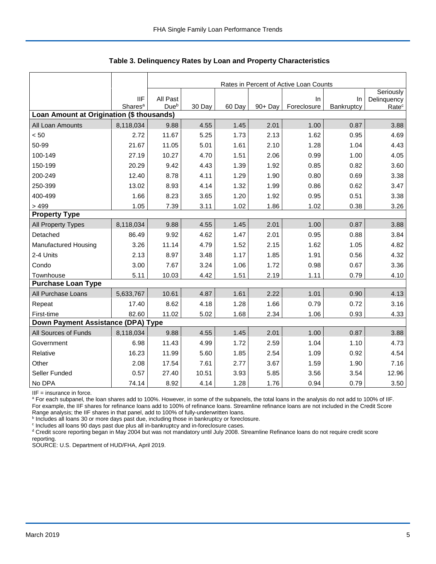|                                           |                                   | Rates in Percent of Active Loan Counts |        |        |         |                   |                  |                                               |  |  |
|-------------------------------------------|-----------------------------------|----------------------------------------|--------|--------|---------|-------------------|------------------|-----------------------------------------------|--|--|
|                                           | <b>IIF</b><br>Shares <sup>a</sup> | All Past<br>Dueb                       | 30 Day | 60 Day | 90+ Day | In<br>Foreclosure | In<br>Bankruptcy | Seriously<br>Delinquency<br>Rate <sup>c</sup> |  |  |
| Loan Amount at Origination (\$ thousands) |                                   |                                        |        |        |         |                   |                  |                                               |  |  |
| All Loan Amounts                          | 8,118,034                         | 9.88                                   | 4.55   | 1.45   | 2.01    | 1.00              | 0.87             | 3.88                                          |  |  |
| < 50                                      | 2.72                              | 11.67                                  | 5.25   | 1.73   | 2.13    | 1.62              | 0.95             | 4.69                                          |  |  |
| 50-99                                     | 21.67                             | 11.05                                  | 5.01   | 1.61   | 2.10    | 1.28              | 1.04             | 4.43                                          |  |  |
| 100-149                                   | 27.19                             | 10.27                                  | 4.70   | 1.51   | 2.06    | 0.99              | 1.00             | 4.05                                          |  |  |
| 150-199                                   | 20.29                             | 9.42                                   | 4.43   | 1.39   | 1.92    | 0.85              | 0.82             | 3.60                                          |  |  |
| 200-249                                   | 12.40                             | 8.78                                   | 4.11   | 1.29   | 1.90    | 0.80              | 0.69             | 3.38                                          |  |  |
| 250-399                                   | 13.02                             | 8.93                                   | 4.14   | 1.32   | 1.99    | 0.86              | 0.62             | 3.47                                          |  |  |
| 400-499                                   | 1.66                              | 8.23                                   | 3.65   | 1.20   | 1.92    | 0.95              | 0.51             | 3.38                                          |  |  |
| > 499                                     | 1.05                              | 7.39                                   | 3.11   | 1.02   | 1.86    | 1.02              | 0.38             | 3.26                                          |  |  |
| <b>Property Type</b>                      |                                   |                                        |        |        |         |                   |                  |                                               |  |  |
| All Property Types                        | 8,118,034                         | 9.88                                   | 4.55   | 1.45   | 2.01    | 1.00              | 0.87             | 3.88                                          |  |  |
| Detached                                  | 86.49                             | 9.92                                   | 4.62   | 1.47   | 2.01    | 0.95              | 0.88             | 3.84                                          |  |  |
| Manufactured Housing                      | 3.26                              | 11.14                                  | 4.79   | 1.52   | 2.15    | 1.62              | 1.05             | 4.82                                          |  |  |
| 2-4 Units                                 | 2.13                              | 8.97                                   | 3.48   | 1.17   | 1.85    | 1.91              | 0.56             | 4.32                                          |  |  |
| Condo                                     | 3.00                              | 7.67                                   | 3.24   | 1.06   | 1.72    | 0.98              | 0.67             | 3.36                                          |  |  |
| Townhouse                                 | 5.11                              | 10.03                                  | 4.42   | 1.51   | 2.19    | 1.11              | 0.79             | 4.10                                          |  |  |
| <b>Purchase Loan Type</b>                 |                                   |                                        |        |        |         |                   |                  |                                               |  |  |
| All Purchase Loans                        | 5,633,767                         | 10.61                                  | 4.87   | 1.61   | 2.22    | 1.01              | 0.90             | 4.13                                          |  |  |
| Repeat                                    | 17.40                             | 8.62                                   | 4.18   | 1.28   | 1.66    | 0.79              | 0.72             | 3.16                                          |  |  |
| First-time                                | 82.60                             | 11.02                                  | 5.02   | 1.68   | 2.34    | 1.06              | 0.93             | 4.33                                          |  |  |
| Down Payment Assistance (DPA) Type        |                                   |                                        |        |        |         |                   |                  |                                               |  |  |
| All Sources of Funds                      | 8,118,034                         | 9.88                                   | 4.55   | 1.45   | 2.01    | 1.00              | 0.87             | 3.88                                          |  |  |
| Government                                | 6.98                              | 11.43                                  | 4.99   | 1.72   | 2.59    | 1.04              | 1.10             | 4.73                                          |  |  |
| Relative                                  | 16.23                             | 11.99                                  | 5.60   | 1.85   | 2.54    | 1.09              | 0.92             | 4.54                                          |  |  |
| Other                                     | 2.08                              | 17.54                                  | 7.61   | 2.77   | 3.67    | 1.59              | 1.90             | 7.16                                          |  |  |
| Seller Funded                             | 0.57                              | 27.40                                  | 10.51  | 3.93   | 5.85    | 3.56              | 3.54             | 12.96                                         |  |  |
| No DPA                                    | 74.14                             | 8.92                                   | 4.14   | 1.28   | 1.76    | 0.94              | 0.79             | 3.50                                          |  |  |

 **Table 3. Delinquency Rates by Loan and Property Characteristics**

IIF = insurance in force.

<sup>a</sup> For each subpanel, the loan shares add to 100%. However, in some of the subpanels, the total loans in the analysis do not add to 100% of IIF. For example, the IIF shares for refinance loans add to 100% of refinance loans. Streamline refinance loans are not included in the Credit Score

Range analysis; the IIF shares in that panel, add to 100% of fully-underwritten loans.<br><sup>b</sup> Includes all loans 30 or more days past due, including those in bankruptcy or foreclosure.

<sup>c</sup> Includes all loans 90 days past due plus all in-bankruptcy and in-foreclosure cases.

<sup>d</sup> Credit score reporting began in May 2004 but was not mandatory until July 2008. Streamline Refinance loans do not require credit score reporting.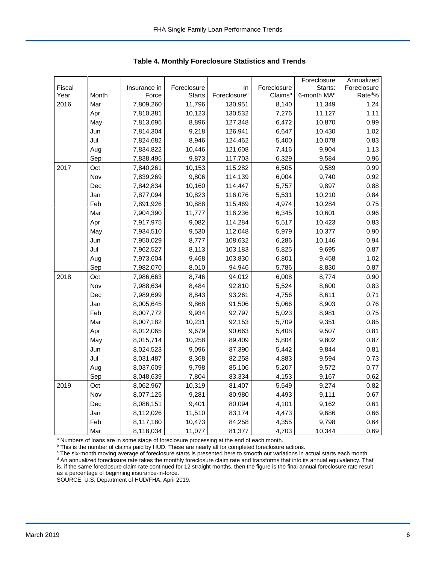|        |       |              |               |                          |             | Foreclosure             | Annualized          |
|--------|-------|--------------|---------------|--------------------------|-------------|-------------------------|---------------------|
| Fiscal |       | Insurance in | Foreclosure   | In                       | Foreclosure | Starts:                 | Foreclosure         |
| Year   | Month | Force        | <b>Starts</b> | Foreclosure <sup>a</sup> | Claimsb     | 6-month MA <sup>c</sup> | Rate <sup>d</sup> % |
| 2016   | Mar   | 7,809,260    | 11,796        | 130,951                  | 8,140       | 11,349                  | 1.24                |
|        | Apr   | 7,810,381    | 10,123        | 130,532                  | 7,276       | 11,127                  | 1.11                |
|        | May   | 7,813,695    | 8,896         | 127,348                  | 6,472       | 10,870                  | 0.99                |
|        | Jun   | 7,814,304    | 9,218         | 126,941                  | 6,647       | 10,430                  | 1.02                |
|        | Jul   | 7,824,682    | 8,946         | 124,462                  | 5,400       | 10,078                  | 0.83                |
|        | Aug   | 7,834,822    | 10,446        | 121,608                  | 7,416       | 9,904                   | 1.13                |
|        | Sep   | 7,838,495    | 9,873         | 117,703                  | 6,329       | 9,584                   | 0.96                |
| 2017   | Oct   | 7,840,261    | 10,153        | 115,282                  | 6,505       | 9,589                   | 0.99                |
|        | Nov   | 7,839,269    | 9,806         | 114,139                  | 6,004       | 9,740                   | 0.92                |
|        | Dec   | 7,842,834    | 10,160        | 114,447                  | 5,757       | 9,897                   | 0.88                |
|        | Jan   | 7,877,094    | 10,823        | 116,076                  | 5,531       | 10,210                  | 0.84                |
|        | Feb   | 7,891,926    | 10,888        | 115,469                  | 4,974       | 10,284                  | 0.75                |
|        | Mar   | 7,904,390    | 11,777        | 116,236                  | 6,345       | 10,601                  | 0.96                |
|        | Apr   | 7,917,975    | 9,082         | 114,284                  | 5,517       | 10,423                  | 0.83                |
|        | May   | 7,934,510    | 9,530         | 112,048                  | 5,979       | 10,377                  | 0.90                |
|        | Jun   | 7,950,029    | 8,777         | 108,632                  | 6,286       | 10,146                  | 0.94                |
|        | Jul   | 7,962,527    | 8,113         | 103,183                  | 5,825       | 9,695                   | 0.87                |
|        | Aug   | 7,973,604    | 9,468         | 103,830                  | 6,801       | 9,458                   | 1.02                |
|        | Sep   | 7,982,070    | 8,010         | 94,946                   | 5,786       | 8,830                   | 0.87                |
| 2018   | Oct   | 7,986,663    | 8,746         | 94,012                   | 6,008       | 8,774                   | 0.90                |
|        | Nov   | 7,988,634    | 8,484         | 92,810                   | 5,524       | 8,600                   | 0.83                |
|        | Dec   | 7,989,699    | 8,843         | 93,261                   | 4,756       | 8,611                   | 0.71                |
|        | Jan   | 8,005,645    | 9,868         | 91,506                   | 5,066       | 8,903                   | 0.76                |
|        | Feb   | 8,007,772    | 9,934         | 92,797                   | 5,023       | 8,981                   | 0.75                |
|        | Mar   | 8,007,182    | 10,231        | 92,153                   | 5,709       | 9,351                   | 0.85                |
|        | Apr   | 8,012,065    | 9,679         | 90,663                   | 5,408       | 9,507                   | 0.81                |
|        | May   | 8,015,714    | 10,258        | 89,409                   | 5,804       | 9,802                   | 0.87                |
|        | Jun   | 8,024,523    | 9,096         | 87,390                   | 5,442       | 9,844                   | 0.81                |
|        | Jul   | 8,031,487    | 8,368         | 82,258                   | 4,883       | 9,594                   | 0.73                |
|        | Aug   | 8,037,609    | 9,798         | 85,106                   | 5,207       | 9,572                   | 0.77                |
|        | Sep   | 8,048,639    | 7,804         | 83,334                   | 4,153       | 9,167                   | 0.62                |
| 2019   | Oct   | 8,062,967    | 10,319        | 81,407                   | 5,549       | 9,274                   | 0.82                |
|        | Nov   | 8,077,125    | 9,281         | 80,980                   | 4,493       | 9,111                   | 0.67                |
|        | Dec   | 8,086,151    | 9,401         | 80,094                   | 4,101       | 9,162                   | 0.61                |
|        | Jan   | 8,112,026    | 11,510        | 83,174                   | 4,473       | 9,686                   | 0.66                |
|        | Feb   | 8,117,180    | 10,473        | 84,258                   | 4,355       | 9,798                   | 0.64                |
|        | Mar   | 8,118,034    | 11,077        | 81,377                   | 4,703       | 10,344                  | 0.69                |

 **Table 4. Monthly Foreclosure Statistics and Trends**

<sup>a</sup> Numbers of loans are in some stage of foreclosure processing at the end of each month.

<sup>b</sup> This is the number of claims paid by HUD. These are nearly all for completed foreclosure actions.

<sup>c</sup> The six-month moving average of foreclosure starts is presented here to smooth out variations in actual starts each month. <sup>d</sup> An annualized foreclosure rate takes the monthly foreclosure claim rate and transforms that into its annual equivalency. That is, if the same foreclosure claim rate continued for 12 straight months, then the figure is the final annual foreclosure rate result as a percentage of beginning insurance-in-force.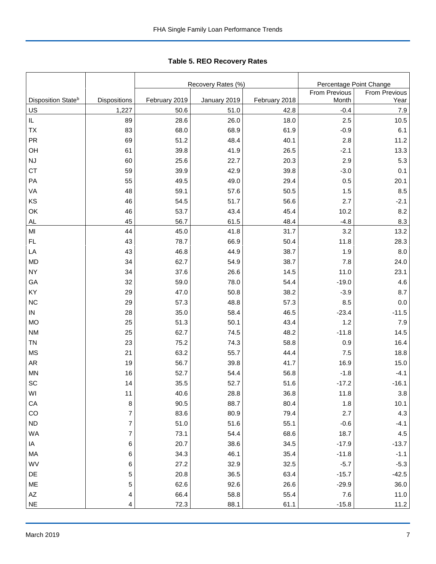Tabl e 5. REO R ecover y R ates **Table 5. REO Recovery Rates**

|                                |                  |               | Recovery Rates (%) |               | Percentage Point Change |                      |
|--------------------------------|------------------|---------------|--------------------|---------------|-------------------------|----------------------|
|                                |                  |               |                    |               | From Previous           | <b>From Previous</b> |
| Disposition State <sup>b</sup> | Dispositions     | February 2019 | January 2019       | February 2018 | Month                   | Year                 |
| US                             | 1,227            | 50.6          | 51.0               | 42.8          | $-0.4$                  | 7.9                  |
| $\sf IL$                       | 89               | 28.6          | 26.0               | 18.0          | 2.5                     | 10.5                 |
| TX                             | 83               | 68.0          | 68.9               | 61.9          | $-0.9$                  | 6.1                  |
| PR                             | 69               | 51.2          | 48.4               | 40.1          | 2.8                     | 11.2                 |
| OH                             | 61               | 39.8          | 41.9               | 26.5          | $-2.1$                  | 13.3                 |
| NJ                             | 60               | 25.6          | 22.7               | 20.3          | 2.9                     | 5.3                  |
| <b>CT</b>                      | 59               | 39.9          | 42.9               | 39.8          | $-3.0$                  | 0.1                  |
| PA                             | 55               | 49.5          | 49.0               | 29.4          | 0.5                     | 20.1                 |
| VA                             | 48               | 59.1          | 57.6               | 50.5          | 1.5                     | 8.5                  |
| KS                             | 46               | 54.5          | 51.7               | 56.6          | 2.7                     | $-2.1$               |
| OK                             | 46               | 53.7          | 43.4               | 45.4          | 10.2                    | 8.2                  |
| <b>AL</b>                      | 45               | 56.7          | 61.5               | 48.4          | $-4.8$                  | 8.3                  |
| MI                             | 44               | 45.0          | 41.8               | 31.7          | 3.2                     | 13.2                 |
| FL                             | 43               | 78.7          | 66.9               | 50.4          | 11.8                    | 28.3                 |
| LA                             | 43               | 46.8          | 44.9               | 38.7          | 1.9                     | 8.0                  |
| <b>MD</b>                      | 34               | 62.7          | 54.9               | 38.7          | 7.8                     | 24.0                 |
| <b>NY</b>                      | 34               | 37.6          | 26.6               | 14.5          | 11.0                    | 23.1                 |
| GA                             | 32               | 59.0          | 78.0               | 54.4          | $-19.0$                 | 4.6                  |
| KY                             | 29               | 47.0          | 50.8               | 38.2          | $-3.9$                  | 8.7                  |
| <b>NC</b>                      | 29               | 57.3          | 48.8               | 57.3          | 8.5                     | 0.0                  |
| ${\sf IN}$                     | 28               | 35.0          | 58.4               | 46.5          | $-23.4$                 | $-11.5$              |
| <b>MO</b>                      | 25               | 51.3          | 50.1               | 43.4          | 1.2                     | 7.9                  |
| <b>NM</b>                      | 25               | 62.7          | 74.5               | 48.2          | $-11.8$                 | 14.5                 |
| <b>TN</b>                      | 23               | 75.2          | 74.3               | 58.8          | 0.9                     | 16.4                 |
| <b>MS</b>                      | 21               | 63.2          | 55.7               | 44.4          | 7.5                     | 18.8                 |
| <b>AR</b>                      | 19               | 56.7          | 39.8               | 41.7          | 16.9                    | 15.0                 |
| <b>MN</b>                      | 16               | 52.7          | 54.4               | 56.8          | $-1.8$                  | $-4.1$               |
| SC                             | 14               | 35.5          | 52.7               | 51.6          | $-17.2$                 | $-16.1$              |
| WI                             | 11               | 40.6          | 28.8               | 36.8          | 11.8                    | $3.8\,$              |
| CA                             | 8                | 90.5          | 88.7               | 80.4          | 1.8                     | 10.1                 |
| CO                             | $\overline{7}$   | 83.6          | 80.9               | 79.4          | 2.7                     | 4.3                  |
| ND                             | $\overline{7}$   | 51.0          | 51.6               | 55.1          | $-0.6$                  | $-4.1$               |
| WA                             | $\boldsymbol{7}$ | 73.1          | 54.4               | 68.6          | 18.7                    | 4.5                  |
| IA                             | 6                | 20.7          | 38.6               | 34.5          | $-17.9$                 | $-13.7$              |
| MA                             | 6                | 34.3          | 46.1               | 35.4          | $-11.8$                 | $-1.1$               |
| WV                             | 6                | 27.2          | 32.9               | 32.5          | $-5.7$                  | $-5.3$               |
| DE                             | 5                | 20.8          | 36.5               | 63.4          | $-15.7$                 | $-42.5$              |
| ME                             | 5                | 62.6          | 92.6               | 26.6          | $-29.9$                 | 36.0                 |
| $\mathsf{A}\mathsf{Z}$         | 4                | 66.4          | 58.8               | 55.4          | 7.6                     | 11.0                 |
| $\sf NE$                       | 4                | 72.3          | 88.1               | 61.1          | $-15.8$                 | 11.2                 |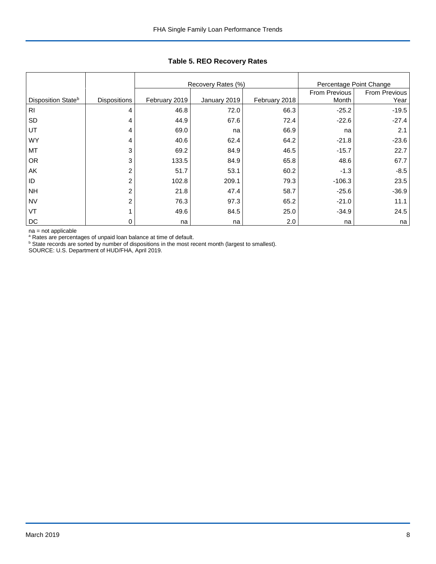|                                |                     |               | Recovery Rates (%) | Percentage Point Change |               |               |
|--------------------------------|---------------------|---------------|--------------------|-------------------------|---------------|---------------|
|                                |                     |               |                    |                         | From Previous | From Previous |
| Disposition State <sup>b</sup> | <b>Dispositions</b> | February 2019 | January 2019       | February 2018           | Month         | Year          |
| R <sub>l</sub>                 | 4                   | 46.8          | 72.0               | 66.3                    | $-25.2$       | $-19.5$       |
| SD                             | 4                   | 44.9          | 67.6               | 72.4                    | $-22.6$       | $-27.4$       |
| UT                             | 4                   | 69.0          | na                 | 66.9                    | na            | 2.1           |
| <b>WY</b>                      | 4                   | 40.6          | 62.4               | 64.2                    | $-21.8$       | $-23.6$       |
| MT                             | 3                   | 69.2          | 84.9               | 46.5                    | $-15.7$       | 22.7          |
| <b>OR</b>                      | 3                   | 133.5         | 84.9               | 65.8                    | 48.6          | 67.7          |
| AK                             | 2                   | 51.7          | 53.1               | 60.2                    | $-1.3$        | $-8.5$        |
| ID                             | $\overline{2}$      | 102.8         | 209.1              | 79.3                    | $-106.3$      | 23.5          |
| <b>NH</b>                      | 2                   | 21.8          | 47.4               | 58.7                    | $-25.6$       | $-36.9$       |
| <b>NV</b>                      | $\overline{2}$      | 76.3          | 97.3               | 65.2                    | $-21.0$       | 11.1          |
| VT                             |                     | 49.6          | 84.5               | 25.0                    | $-34.9$       | 24.5          |
| DC                             | 0                   | na            | na                 | 2.0                     | na            | na            |

## **Table 5. REO Recovery Rates**

na = not applicable

<sup>a</sup> Rates are percentages of unpaid loan balance at time of default.<br><sup>b</sup> State records are sorted by number of dispositions in the most recent month (largest to smallest).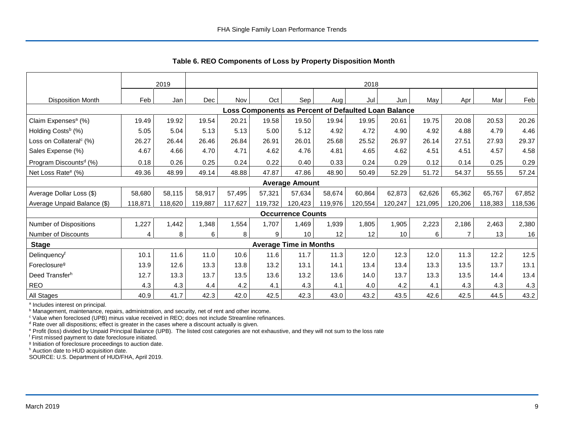|                                     |         | 2019    |         | 2018    |                                                      |                               |         |         |         |         |         |         |         |
|-------------------------------------|---------|---------|---------|---------|------------------------------------------------------|-------------------------------|---------|---------|---------|---------|---------|---------|---------|
| <b>Disposition Month</b>            | Feb     | Jan     | Dec     | Nov     | Oct                                                  | Sep                           | Aug     | Jul     | Jun     | May     | Apr     | Mar     | Feb     |
|                                     |         |         |         |         | Loss Components as Percent of Defaulted Loan Balance |                               |         |         |         |         |         |         |         |
| Claim Expenses <sup>a</sup> (%)     | 19.49   | 19.92   | 19.54   | 20.21   | 19.58                                                | 19.50                         | 19.94   | 19.95   | 20.61   | 19.75   | 20.08   | 20.53   | 20.26   |
| Holding Costs <sup>b</sup> (%)      | 5.05    | 5.04    | 5.13    | 5.13    | 5.00                                                 | 5.12                          | 4.92    | 4.72    | 4.90    | 4.92    | 4.88    | 4.79    | 4.46    |
| Loss on Collateral <sup>c</sup> (%) | 26.27   | 26.44   | 26.46   | 26.84   | 26.91                                                | 26.01                         | 25.68   | 25.52   | 26.97   | 26.14   | 27.51   | 27.93   | 29.37   |
| Sales Expense (%)                   | 4.67    | 4.66    | 4.70    | 4.71    | 4.62                                                 | 4.76                          | 4.81    | 4.65    | 4.62    | 4.51    | 4.51    | 4.57    | 4.58    |
| Program Discounts <sup>d</sup> (%)  | 0.18    | 0.26    | 0.25    | 0.24    | 0.22                                                 | 0.40                          | 0.33    | 0.24    | 0.29    | 0.12    | 0.14    | 0.25    | 0.29    |
| Net Loss Rate <sup>e</sup> (%)      | 49.36   | 48.99   | 49.14   | 48.88   | 47.87                                                | 47.86                         | 48.90   | 50.49   | 52.29   | 51.72   | 54.37   | 55.55   | 57.24   |
|                                     |         |         |         |         |                                                      | <b>Average Amount</b>         |         |         |         |         |         |         |         |
| Average Dollar Loss (\$)            | 58,680  | 58,115  | 58,917  | 57,495  | 57,321                                               | 57,634                        | 58,674  | 60,864  | 62,873  | 62,626  | 65,362  | 65,767  | 67,852  |
| Average Unpaid Balance (\$)         | 118,871 | 118,620 | 119,887 | 117,627 | 119,732                                              | 120,423                       | 119,976 | 120,554 | 120,247 | 121,095 | 120,206 | 118,383 | 118,536 |
|                                     |         |         |         |         |                                                      | <b>Occurrence Counts</b>      |         |         |         |         |         |         |         |
| Number of Dispositions              | 1,227   | 1,442   | 1,348   | 1,554   | 1.707                                                | 1,469                         | 1,939   | 1,805   | 1,905   | 2,223   | 2,186   | 2,463   | 2,380   |
| Number of Discounts                 | 4       | 8       | 6       | 8       | 9                                                    | 10                            | 12      | 12      | 10      | 6       |         | 13      | 16      |
| <b>Stage</b>                        |         |         |         |         |                                                      | <b>Average Time in Months</b> |         |         |         |         |         |         |         |
| Delinquency <sup>f</sup>            | 10.1    | 11.6    | 11.0    | 10.6    | 11.6                                                 | 11.7                          | 11.3    | 12.0    | 12.3    | 12.0    | 11.3    | 12.2    | 12.5    |
| Foreclosure <sup>g</sup>            | 13.9    | 12.6    | 13.3    | 13.8    | 13.2                                                 | 13.1                          | 14.1    | 13.4    | 13.4    | 13.3    | 13.5    | 13.7    | 13.1    |
| Deed Transferh                      | 12.7    | 13.3    | 13.7    | 13.5    | 13.6                                                 | 13.2                          | 13.6    | 14.0    | 13.7    | 13.3    | 13.5    | 14.4    | 13.4    |
| <b>REO</b>                          | 4.3     | 4.3     | 4.4     | 4.2     | 4.1                                                  | 4.3                           | 4.1     | 4.0     | 4.2     | 4.1     | 4.3     | 4.3     | 4.3     |
| All Stages                          | 40.9    | 41.7    | 42.3    | 42.0    | 42.5                                                 | 42.3                          | 43.0    | 43.2    | 43.5    | 42.6    | 42.5    | 44.5    | 43.2    |

 **Table 6. REO Components of Loss by Property Disposition Month**

<sup>a</sup> Includes interest on principal.

<sup>b</sup> Management, maintenance, repairs, administration, and security, net of rent and other income.

c Value when foreclosed (UPB) minus value received in REO; does not include Streamline refinances.

<sup>d</sup> Rate over all dispositions; effect is greater in the cases where a discount actually is given.

e Profit (loss) divided by Unpaid Principal Balance (UPB). The listed cost categories are not exhaustive, and they will not sum to the loss rate

f First missed payment to date foreclosure initiated.

<sup>g</sup> Initiation of foreclosure proceedings to auction date.

h Auction date to HUD acquisition date.